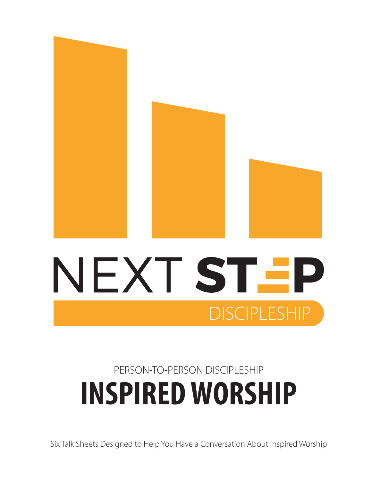

## **INSPIRED WORSHIP** PERSON-TO-PERSON DISCIPLESHIP

**DISCIPLESHIP** 

Six Talk Sheets Designed to Help You Have a Conversation About Inspired Worship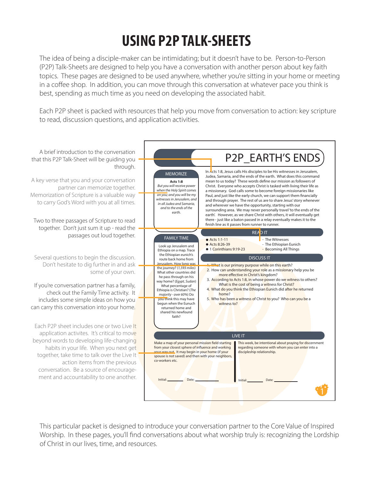## **USING P2P TALK-SHEETS**

The idea of being a disciple-maker can be intimidating; but it doesn't have to be. Person-to-Person (P2P) Talk-Sheets are designed to help you have a conversation with another person about key faith topics. These pages are designed to be used anywhere, whether you're sitting in your home or meeting in a coffee shop. In addition, you can move through this conversation at whatever pace you think is best, spending as much time as you need on developing the associated habit.

Each P2P sheet is packed with resources that help you move from conversation to action: key scripture to read, discussion questions, and application activities.



This particular packet is designed to introduce your conversation partner to the Core Value of Inspired Worship. In these pages, you'll find conversations about what worship truly is: recognizing the Lordship of Christ in our lives, time, and resources.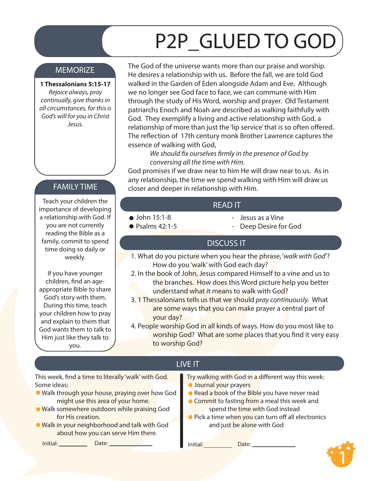# P2P\_GLUED TO GOD

#### **MEMORIZE**

#### **1 Thessalonians 5:15-17**

*Rejoice always, pray continually, give thanks in all circumstances, for this is God's will for you in Christ Jesus.*

#### FAMILY TIME

Teach your children the importance of developing a relationship with God. If you are not currently reading the Bible as a family, commit to spend time doing so daily or weekly.

If you have younger children, find an ageappropriate Bible to share God's story with them. During this time, teach your children how to pray and explain to them that God wants them to talk to Him just like they talk to you.

The God of the universe wants more than our praise and worship. He desires a relationship with us. Before the fall, we are told God walked in the Garden of Eden alongside Adam and Eve. Although we no longer see God face to face, we can commune with Him through the study of His Word, worship and prayer. Old Testament patriarchs Enoch and Noah are described as walking faithfully with God. They exemplify a living and active relationship with God, a relationship of more than just the 'lip service' that is so often offered. The reflection of 17th century monk Brother Lawrence captures the essence of walking with God,

We should fix ourselves firmly in the presence of God by  *conversing all the time with Him*.

God promises if we draw near to him He will draw near to us. As in any relationship, the time we spend walking with Him will draw us closer and deeper in relationship with Him.

#### READ IT

- John 15:1-8
- $\bullet$  Psalms 42:1-5
- Jesus as a Vine
- Deep Desire for God

#### DISCUSS IT

- 1. What do you picture when you hear the phrase, '*walk with God*'? How do you 'walk' with God each day?
- 2. In the book of John, Jesus compared Himself to a vine and us to the branches. How does this Word picture help you better understand what it means to walk with God?
- 3. 1 Thessalonians tells us that we should *pray continuously.* What are some ways that you can make prayer a central part of your day?
- 4. People worship God in all kinds of ways. How do you most like to worship God? What are some places that you find it very easy to worship God?

#### LIVE IT

This week, find a time to literally 'walk' with God. Some ideas:

- Walk through your house, praying over how God might use this area of your home.
- **Walk somewhere outdoors while praising God** for His creation.
- Walk in your neighborhood and talk with God about how you can serve Him there.

Initial: Date: Date: Date: Date: Date: Date: Date:

```
Try walking with God in a different way this week:
Journal your prayers
```
- Read a book of the Bible you have never read
- **Commit to fasting from a meal this week and** spend the time with God instead
- lack a time when you can turn off all electronics and just be alone with God

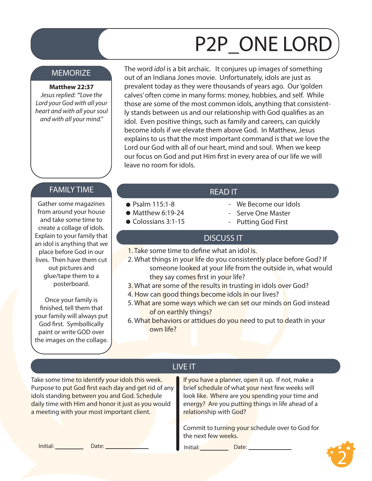# P2P\_ONE LORD

#### **MEMORIZE**

**Matthew 22:37**  *Jesus replied: "'Love the Lord your God with all your heart and with all your soul and with all your mind."*

The word *idol* is a bit archaic. It conjures up images of something out of an Indiana Jones movie. Unfortunately, idols are just as prevalent today as they were thousands of years ago. Our 'golden calves' often come in many forms: money, hobbies, and self. While those are some of the most common idols, anything that consistently stands between us and our relationship with God qualifies as an idol. Even positive things, such as family and careers, can quickly become idols if we elevate them above God. In Matthew, Jesus explains to us that the most important command is that we love the Lord our God with all of our heart, mind and soul. When we keep our focus on God and put Him first in every area of our life we will leave no room for idols.

#### FAMILY TIME THE SAME IT AND THE READ IT

Gather some magazines from around your house and take some time to create a collage of idols. Explain to your family that an idol is anything that we place before God in our lives. Then have them cut out pictures and glue/tape them to a posterboard.

Once your family is finished, tell them that your family will always put God first. Symbollically paint or write GOD over the images on the collage.

● Psalm 115:1-8  $\bullet$  Matthew 6:19-24 Colossians 3:1-15

- We Become our Idols
- Serve One Master
- Putting God First

#### DISCUSS IT

- 1. Take some time to define what an idol is.
- 2. What things in your life do you consistently place before God? If someone looked at your life from the outside in, what would they say comes first in your life?
- 3. What are some of the results in trusting in idols over God?
- 4. How can good things become idols in our lives?
- 5. What are some ways which we can set our minds on God instead of on earthly things?
- 6. What behaviors or attidues do you need to put to death in your own life?

Take some time to identify your idols this week. Purpose to put God first each day and get rid of any idols standing between you and God. Schedule daily time with Him and honor it just as you would a meeting with your most important client.

### LIVE IT

If you have a planner, open it up. If not, make a brief schedule of what your next few weeks will look like. Where are you spending your time and energy? Are you putting things in life ahead of a relationship with God?

Commit to turning your schedule over to God for the next few weeks.

Initial: Date: Date: Date: Date: Date: Date: Date: Date: Date: Date: Date: Date: Date: Date: Date: Date: Date: Date: Date: Date: Date: Date: Date: Date: Date: Date: Date: Date: Date: Date: Date: Date: Date: Date: Date: Dat

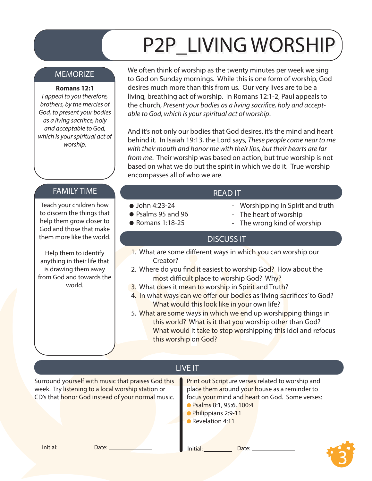# P2P\_LIVING WORSHIP

#### MEMORIZE

#### **Romans 12:1**

*I appeal to you therefore, brothers, by the mercies of God, to present your bodies*   $as a living$  sacrifice, holy *and acceptable to God, which is your spiritual act of worship.* 

FAMILY TIME THE STATE IS A READ IT

Teach your children how to discern the things that help them grow closer to God and those that make them more like the world.

Help them to identify anything in their life that is drawing them away from God and towards the world.

We often think of worship as the twenty minutes per week we sing to God on Sunday mornings. While this is one form of worship, God desires much more than this from us. Our very lives are to be a living, breathing act of worship. In Romans 12:1-2, Paul appeals to the church, Present your bodies as a living sacrifice, holy and accept*able to God, which is your spiritual act of worship*.

And it's not only our bodies that God desires, it's the mind and heart behind it. In Isaiah 19:13, the Lord says, *These people come near to me with their mouth and honor me with their lips, but their hearts are far from me*. Their worship was based on action, but true worship is not based on what we do but the spirit in which we do it. True worship encompasses all of who we are.

#### $\bullet$  John 4:23-24

- Psalms 95 and 96
- Romans 1:18-25
- Worshipping in Spirit and truth
- The heart of worship
- The wrong kind of worship

#### DISCUSS IT

- 1. What are some different ways in which you can worship our Creator?
- 2. Where do you find it easiest to worship God? How about the most difficult place to worship God? Why?
- 3. What does it mean to worship in Spirit and Truth?
- 4. In what ways can we offer our bodies as 'living sacrifices' to God? What would this look like in your own life?
- 5. What are some ways in which we end up worshipping things in this world? What is it that you worship other than God? What would it take to stop worshipping this idol and refocus this worship on God?

### LIVE IT

Surround yourself with music that praises God this week. Try listening to a local worship station or CD's that honor God instead of your normal music.

Print out Scripture verses related to worship and place them around your house as a reminder to focus your mind and heart on God. Some verses:

- Psalms 8:1, 95:6, 100:4
- Philippians 2:9-11
- Revelation 4:11

**Initial:** <u>Date: Date: Date: Date: Date: Date: Date: Date: Date: Date: Date: Date: Date: Date: Date: Date: Date: Date: Date: Date: Date: Date: Date: Date: Date: Date: Date: Date: Date: Date: Date: Date: Date: Date: Date: </u>

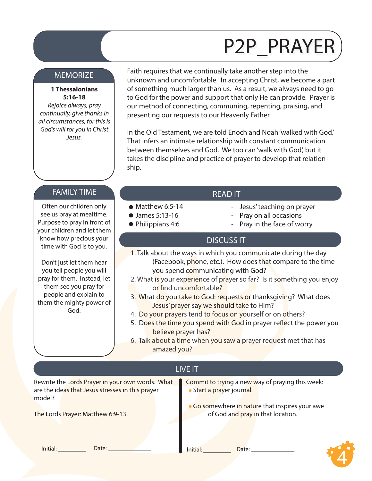## P2P\_PRAYER

#### **MEMORIZE**

#### **1 Thessalonians 5:16-18**

*Rejoice always, pray continually, give thanks in all circumstances, for this is God's will for you in Christ Jesus.* 

Faith requires that we continually take another step into the unknown and uncomfortable. In accepting Christ, we become a part of something much larger than us. As a result, we always need to go to God for the power and support that only He can provide. Prayer is our method of connecting, communing, repenting, praising, and presenting our requests to our Heavenly Father.

In the Old Testament, we are told Enoch and Noah 'walked with God.' That infers an intimate relationship with constant communication between themselves and God. We too can 'walk with God', but it takes the discipline and practice of prayer to develop that relationship.

#### FAMILY TIME THE READ IT

Often our children only see us pray at mealtime. Purpose to pray in front of your children and let them know how precious your time with God is to you.

Don't just let them hear you tell people you will pray for them. Instead, let them see you pray for people and explain to them the mighty power of God.

- Jesus' teaching on prayer
- Pray on all occasions
- Pray in the face of worry

#### DISCUSS IT

- 1. Talk about the ways in which you communicate during the day (Facebook, phone, etc.). How does that compare to the time you spend communicating with God?
- 2. What is your experience of prayer so far? Is it something you enjoy or find uncomfortable?
- 3. What do you take to God: requests or thanksgiving? What does Jesus' prayer say we should take to Him?
- 4. Do your prayers tend to focus on yourself or on others?
- 5. Does the time you spend with God in prayer reflect the power you believe prayer has?
- 6. Talk about a time when you saw a prayer request met that has amazed you?

#### LIVE IT

 $\bullet$  Matthew 6:5-14 James 5:13-16 ● Philippians 4:6

Rewrite the Lords Prayer in your own words. What are the ideas that Jesus stresses in this prayer model?

The Lords Prayer: Matthew 6:9-13

Commit to trying a new way of praying this week: Start a prayer journal.

Go somewhere in nature that inspires your awe of God and pray in that location.

Initial: Date: Date: Date: Date: Date: Date:

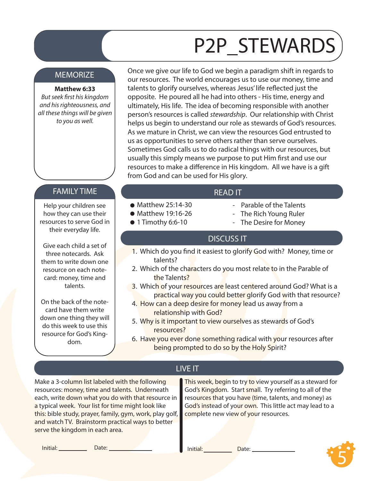# P2P\_STEWARDS

#### **MEMORIZE**

#### **Matthew 6:33**

*But seek first his kingdom and his righteousness, and all these things will be given to you as well.* 

Once we give our life to God we begin a paradigm shift in regards to our resources. The world encourages us to use our money, time and talents to glorify ourselves, whereas Jesus' life reflected just the opposite. He poured all he had into others - His time, energy and ultimately, His life. The idea of becoming responsible with another person's resources is called *stewardship*. Our relationship with Christ helps us begin to understand our role as stewards of God's resources. As we mature in Christ, we can view the resources God entrusted to us as opportunities to serve others rather than serve ourselves. Sometimes God calls us to do radical things with our resources, but usually this simply means we purpose to put Him first and use our resources to make a difference in His kingdom. All we have is a gift from God and can be used for His glory.

#### FAMILY TIME **The Contract of the Contract of the Contract of the Contract of the Contract of the READ IT**

Help your children see how they can use their resources to serve God in their everyday life.

Give each child a set of three notecards. Ask them to write down one resource on each notecard: money, time and talents.

On the back of the notecard have them write down one thing they will do this week to use this resource for God's Kingdom.

 $\bullet$  Matthew 25:14-30  $\bullet$  Matthew 19:16-26

 $\bullet$  1 Timothy 6:6-10

- Parable of the Talents
	- The Rich Young Ruler
	- The Desire for Money

#### DISCUSS IT

- 1. Which do you find it easiest to glorify God with? Money, time or talents?
- 2. Which of the characters do you most relate to in the Parable of the Talents?
- 3. Which of your resources are least centered around God? What is a practical way you could better glorify God with that resource?
- 4. How can a deep desire for money lead us away from a relationship with God?
- 5. Why is it important to view ourselves as stewards of God's resources?
- 6. Have you ever done something radical with your resources after being prompted to do so by the Holy Spirit?

#### LIVE IT

Make a 3-column list labeled with the following resources: money, time and talents. Underneath each, write down what you do with that resource in a typical week. Your list for time might look like this: bible study, prayer, family, gym, work, play golf, and watch TV. Brainstorm practical ways to better serve the kingdom in each area.

This week, begin to try to view yourself as a steward for God's Kingdom. Start small. Try referring to all of the resources that you have (time, talents, and money) as God's instead of your own. This little act may lead to a complete new view of your resources.

Initial: Date: Date: Date: Date: Date: Date:

5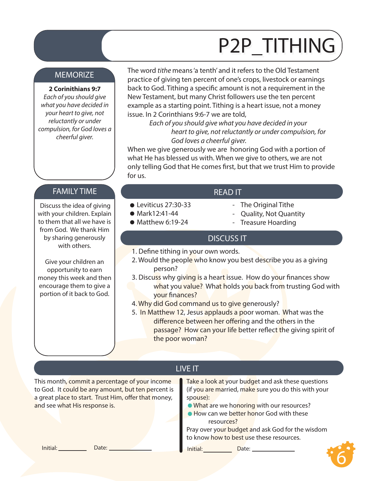# P2P\_TITHING

#### MEMORIZE

**2 Corinithians 9:7**

*Each of you should give what you have decided in your heart to give, not reluctantly or under compulsion, for God loves a cheerful giver.*

The word *tithe* means 'a tenth' and it refers to the Old Testament practice of giving ten percent of one's crops, livestock or earnings back to God. Tithing a specific amount is not a requirement in the New Testament, but many Christ followers use the ten percent example as a starting point. Tithing is a heart issue, not a money issue. In 2 Corinthians 9:6-7 we are told,

> *Each of you should give what you have decided in your heart to give, not reluctantly or under compulsion, for God loves a cheerful giver.*

When we give generously we are honoring God with a portion of what He has blessed us with. When we give to others, we are not only telling God that He comes first, but that we trust Him to provide for us.

#### FAMILY TIME **The Contract of the Contract of the Contract of the Contract of the Contract of the Contract of T**

 Discuss the idea of giving with your children. Explain to them that all we have is from God. We thank Him by sharing generously with others.

Give your children an opportunity to earn money this week and then encourage them to give a portion of it back to God.

- The Original Tithe
- Quality, Not Quantity
- Treasure Hoarding

#### DISCUSS IT

1. Define tithing in your own words.

Leviticus 27:30-33 ● Mark12:41-44  $\bullet$  Matthew 6:19-24

- 2. Would the people who know you best describe you as a giving person?
- 3. Discuss why giving is a heart issue. How do your finances show what you value? What holds you back from trusting God with your finances?
- 4. Why did God command us to give generously?
- 5. In Matthew 12, Jesus applauds a poor woman. What was the difference between her offering and the others in the passage? How can your life better reflect the giving spirit of the poor woman?

LIVE IT

This month, commit a percentage of your income to God. It could be any amount, but ten percent is a great place to start. Trust Him, offer that money, and see what His response is.

Take a look at your budget and ask these questions (if you are married, make sure you do this with your spouse):

- What are we honoring with our resources?
- **How can we better honor God with these** resources?

Pray over your budget and ask God for the wisdom to know how to best use these resources.

Initial: Date: Date: Date: Date: Date: Date:

6